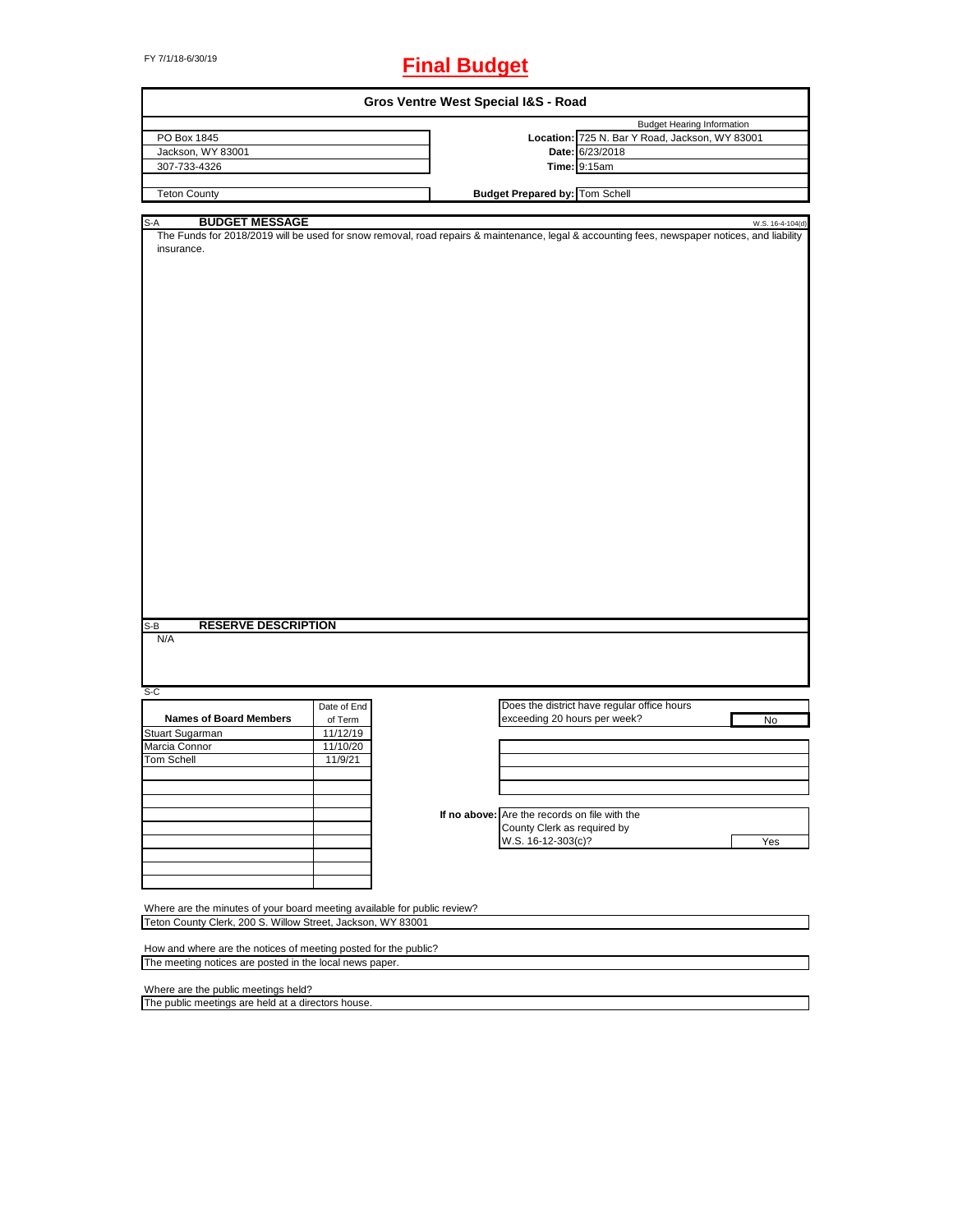# FY 7/1/18-6/30/19 **Final Budget**

| Gros Ventre West Special I&S - Road                                                                                                                                                                                                      |             |  |                                               |                                                |                  |
|------------------------------------------------------------------------------------------------------------------------------------------------------------------------------------------------------------------------------------------|-------------|--|-----------------------------------------------|------------------------------------------------|------------------|
|                                                                                                                                                                                                                                          |             |  |                                               | <b>Budget Hearing Information</b>              |                  |
| PO Box 1845                                                                                                                                                                                                                              |             |  |                                               | Location: 725 N. Bar Y Road, Jackson, WY 83001 |                  |
| Jackson, WY 83001                                                                                                                                                                                                                        |             |  |                                               | Date: 6/23/2018                                |                  |
| 307-733-4326                                                                                                                                                                                                                             |             |  |                                               | <b>Time: 9:15am</b>                            |                  |
|                                                                                                                                                                                                                                          |             |  |                                               |                                                |                  |
| <b>Teton County</b>                                                                                                                                                                                                                      |             |  | <b>Budget Prepared by: Tom Schell</b>         |                                                |                  |
|                                                                                                                                                                                                                                          |             |  |                                               |                                                |                  |
| <b>BUDGET MESSAGE</b><br>S-A<br>The Funds for 2018/2019 will be used for snow removal, road repairs & maintenance, legal & accounting fees, newspaper notices, and liability<br>insurance.<br><b>RESERVE DESCRIPTION</b><br>$S-B$<br>N/A |             |  |                                               |                                                | W.S. 16-4-104(d) |
| S-C                                                                                                                                                                                                                                      |             |  |                                               |                                                |                  |
|                                                                                                                                                                                                                                          | Date of End |  |                                               | Does the district have regular office hours    |                  |
| <b>Names of Board Members</b>                                                                                                                                                                                                            | of Term     |  | exceeding 20 hours per week?                  |                                                | No               |
| Stuart Sugarman                                                                                                                                                                                                                          | 11/12/19    |  |                                               |                                                |                  |
| Marcia Connor                                                                                                                                                                                                                            | 11/10/20    |  |                                               |                                                |                  |
| Tom Schell                                                                                                                                                                                                                               | 11/9/21     |  |                                               |                                                |                  |
|                                                                                                                                                                                                                                          |             |  |                                               |                                                |                  |
|                                                                                                                                                                                                                                          |             |  |                                               |                                                |                  |
|                                                                                                                                                                                                                                          |             |  |                                               |                                                |                  |
|                                                                                                                                                                                                                                          |             |  |                                               |                                                |                  |
|                                                                                                                                                                                                                                          |             |  | If no above: Are the records on file with the |                                                |                  |
|                                                                                                                                                                                                                                          |             |  | County Clerk as required by                   |                                                |                  |
|                                                                                                                                                                                                                                          |             |  | W.S. 16-12-303(c)?                            |                                                | Yes              |
|                                                                                                                                                                                                                                          |             |  |                                               |                                                |                  |
|                                                                                                                                                                                                                                          |             |  |                                               |                                                |                  |
|                                                                                                                                                                                                                                          |             |  |                                               |                                                |                  |
|                                                                                                                                                                                                                                          |             |  |                                               |                                                |                  |
| Where are the minutes of your board meeting available for public review?                                                                                                                                                                 |             |  |                                               |                                                |                  |
| Teton County Clerk, 200 S. Willow Street, Jackson, WY 83001                                                                                                                                                                              |             |  |                                               |                                                |                  |
|                                                                                                                                                                                                                                          |             |  |                                               |                                                |                  |
| How and where are the notices of meeting posted for the public?                                                                                                                                                                          |             |  |                                               |                                                |                  |
| The meeting notices are posted in the local news paper.                                                                                                                                                                                  |             |  |                                               |                                                |                  |
|                                                                                                                                                                                                                                          |             |  |                                               |                                                |                  |
| Where are the public meetings held?                                                                                                                                                                                                      |             |  |                                               |                                                |                  |
| The public meetings are held at a directors house.                                                                                                                                                                                       |             |  |                                               |                                                |                  |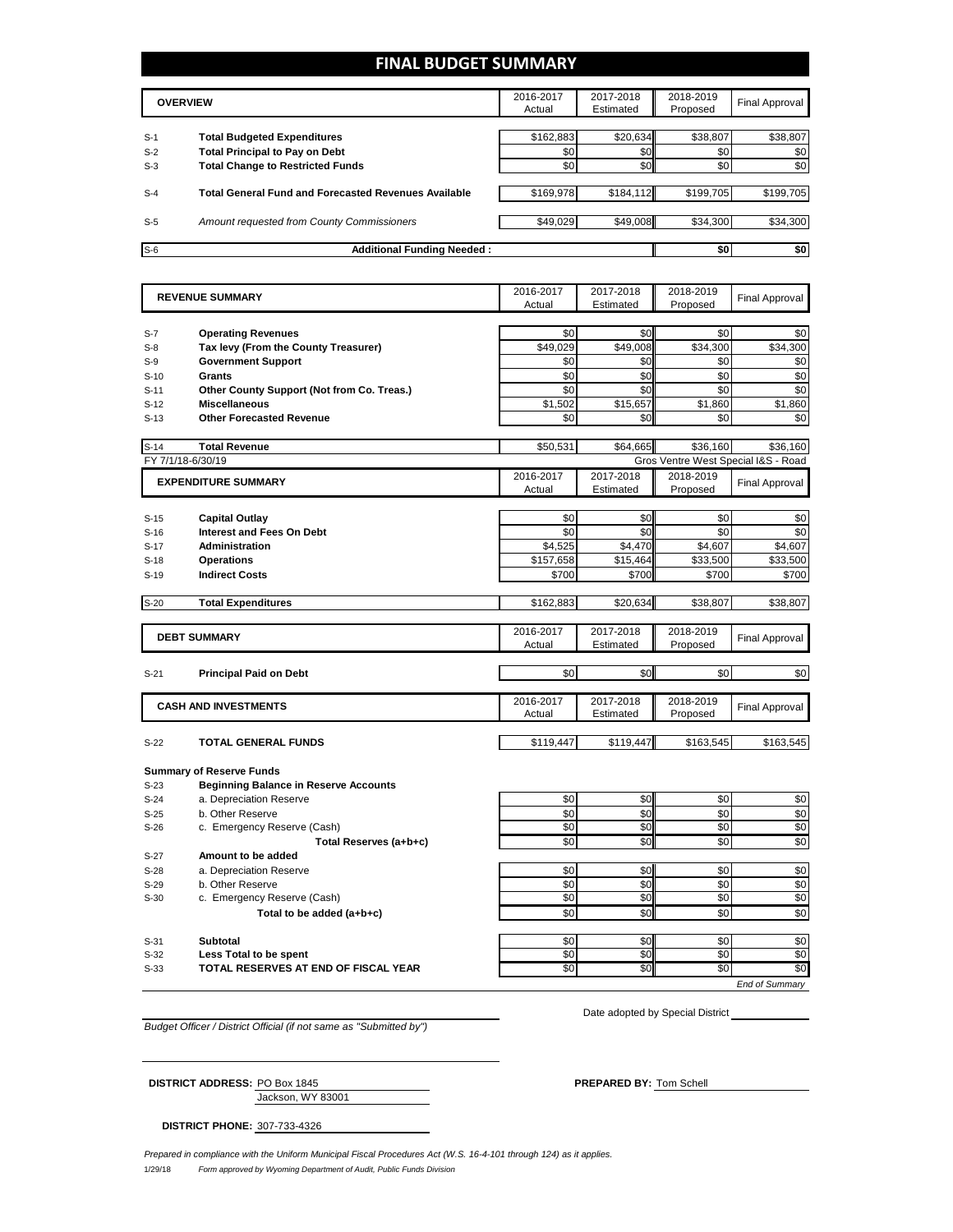## **FINAL BUDGET SUMMARY**

|       | <b>OVERVIEW</b>                                             | 2016-2017<br>Actual | 2017-2018<br>Estimated | 2018-2019<br>Proposed | <b>Final Approval</b> |
|-------|-------------------------------------------------------------|---------------------|------------------------|-----------------------|-----------------------|
|       |                                                             |                     |                        |                       |                       |
| $S-1$ | <b>Total Budgeted Expenditures</b>                          | \$162,883           | \$20,634               | \$38,807              | \$38,807              |
| $S-2$ | <b>Total Principal to Pay on Debt</b>                       | \$0                 | \$0                    | \$0                   | \$0                   |
| $S-3$ | <b>Total Change to Restricted Funds</b>                     | \$0                 | \$0                    | \$0                   | \$0                   |
|       |                                                             |                     |                        |                       |                       |
| $S-4$ | <b>Total General Fund and Forecasted Revenues Available</b> | \$169,978           | \$184,112              | \$199,705             | \$199,705             |
|       |                                                             |                     |                        |                       |                       |
| $S-5$ | <b>Amount requested from County Commissioners</b>           | \$49,029            | \$49,008               | \$34,300              | \$34,300              |
|       |                                                             |                     |                        |                       |                       |
| $S-6$ | <b>Additional Funding Needed:</b>                           |                     |                        | \$0                   | \$0                   |

|                   | <b>REVENUE SUMMARY</b>                       | 2016-2017<br>Actual | 2017-2018<br>Estimated | 2018-2019<br>Proposed | <b>Final Approval</b>               |
|-------------------|----------------------------------------------|---------------------|------------------------|-----------------------|-------------------------------------|
|                   |                                              |                     |                        |                       |                                     |
| $S-7$             | <b>Operating Revenues</b>                    | \$0                 | \$0                    | \$0                   | \$0                                 |
| $S-8$             | Tax levy (From the County Treasurer)         | \$49,029            | \$49,008               | \$34,300              | \$34,300                            |
| $S-9$             | <b>Government Support</b>                    | \$0                 | \$0                    | \$0                   | \$0                                 |
| $S-10$            | Grants                                       | \$0                 | \$0                    | \$0                   | \$0                                 |
| $S-11$            | Other County Support (Not from Co. Treas.)   | \$0                 | \$0                    | \$0                   | \$0                                 |
| $S-12$            | <b>Miscellaneous</b>                         | \$1,502             | \$15,657               | \$1,860               | \$1,860                             |
| $S-13$            | <b>Other Forecasted Revenue</b>              | \$0                 | \$0                    | \$0                   | \$0                                 |
|                   |                                              |                     |                        |                       |                                     |
| $S-14$            | <b>Total Revenue</b>                         | \$50,531            | \$64,665               | \$36,160              | \$36,160                            |
| FY 7/1/18-6/30/19 |                                              |                     |                        |                       | Gros Ventre West Special I&S - Road |
|                   | <b>EXPENDITURE SUMMARY</b>                   | 2016-2017           | 2017-2018              | 2018-2019             | <b>Final Approval</b>               |
|                   |                                              | Actual              | Estimated              | Proposed              |                                     |
|                   |                                              |                     |                        |                       |                                     |
| $S-15$            | <b>Capital Outlay</b>                        | \$0                 | \$0                    | \$0                   | \$0                                 |
| $S-16$            | <b>Interest and Fees On Debt</b>             | \$0                 | \$0                    | \$0                   | \$0                                 |
| $S-17$            | <b>Administration</b>                        | \$4,525             | \$4,470                | \$4,607               | \$4,607                             |
| $S-18$            | <b>Operations</b>                            | \$157,658           | \$15,464               | \$33,500              | \$33,500                            |
| $S-19$            | <b>Indirect Costs</b>                        | \$700               | \$700                  | \$700                 | \$700                               |
| $S-20$            | <b>Total Expenditures</b>                    | \$162,883           | \$20,634               | \$38,807              | \$38,807                            |
|                   |                                              |                     |                        |                       |                                     |
|                   | <b>DEBT SUMMARY</b>                          | 2016-2017           | 2017-2018              | 2018-2019             | <b>Final Approval</b>               |
|                   |                                              | Actual              | Estimated              | Proposed              |                                     |
|                   |                                              |                     |                        |                       |                                     |
| $S-21$            | <b>Principal Paid on Debt</b>                | \$0                 | \$0                    | \$0                   | \$0                                 |
|                   |                                              | 2016-2017           | 2017-2018              | 2018-2019             |                                     |
|                   | <b>CASH AND INVESTMENTS</b>                  | Actual              | Estimated              | Proposed              | <b>Final Approval</b>               |
|                   |                                              |                     |                        |                       |                                     |
| $S-22$            | <b>TOTAL GENERAL FUNDS</b>                   | \$119,447           | \$119,447              | \$163,545             | \$163,545                           |
|                   | <b>Summary of Reserve Funds</b>              |                     |                        |                       |                                     |
| $S-23$            | <b>Beginning Balance in Reserve Accounts</b> |                     |                        |                       |                                     |
| $S-24$            | a. Depreciation Reserve                      | \$0                 | \$0                    | \$0                   | \$0                                 |
| $S-25$            | b. Other Reserve                             | \$0                 | \$0                    | \$0                   | \$0                                 |
| $S-26$            | c. Emergency Reserve (Cash)                  | \$0                 | \$0                    | \$0                   | \$0                                 |
|                   | Total Reserves (a+b+c)                       | \$0                 | \$0                    | \$0                   | \$0                                 |
| $S-27$            | Amount to be added                           |                     |                        |                       |                                     |
| $S-28$            | a. Depreciation Reserve                      | \$0                 | \$0                    | \$0                   | \$0                                 |
| $S-29$            | b. Other Reserve                             | \$0                 | \$0                    | \$0                   | $\overline{50}$                     |
| $S-30$            | c. Emergency Reserve (Cash)                  | \$0                 | \$0                    | \$0                   | \$0                                 |
|                   | Total to be added (a+b+c)                    | \$0                 | \$0                    | \$0                   | \$0                                 |
|                   |                                              |                     |                        |                       |                                     |
| $S-31$            | <b>Subtotal</b>                              | \$0                 | \$0                    | \$0                   | \$0                                 |
| $S-32$            | Less Total to be spent                       | \$0                 | \$0                    | \$0                   | \$0                                 |
| $S-33$            | TOTAL RESERVES AT END OF FISCAL YEAR         | \$0                 | \$0                    | $\overline{50}$       | $\overline{50}$                     |
|                   |                                              |                     |                        |                       |                                     |

*Budget Officer / District Official (if not same as "Submitted by")*

Date adopted by Special District

Jackson, WY 83001 **DISTRICT ADDRESS:** PO Box 1845 **PREPARED BY:** Tom Schell

**DISTRICT PHONE:** 307-733-4326

1/29/18 *Form approved by Wyoming Department of Audit, Public Funds Division Prepared in compliance with the Uniform Municipal Fiscal Procedures Act (W.S. 16-4-101 through 124) as it applies.*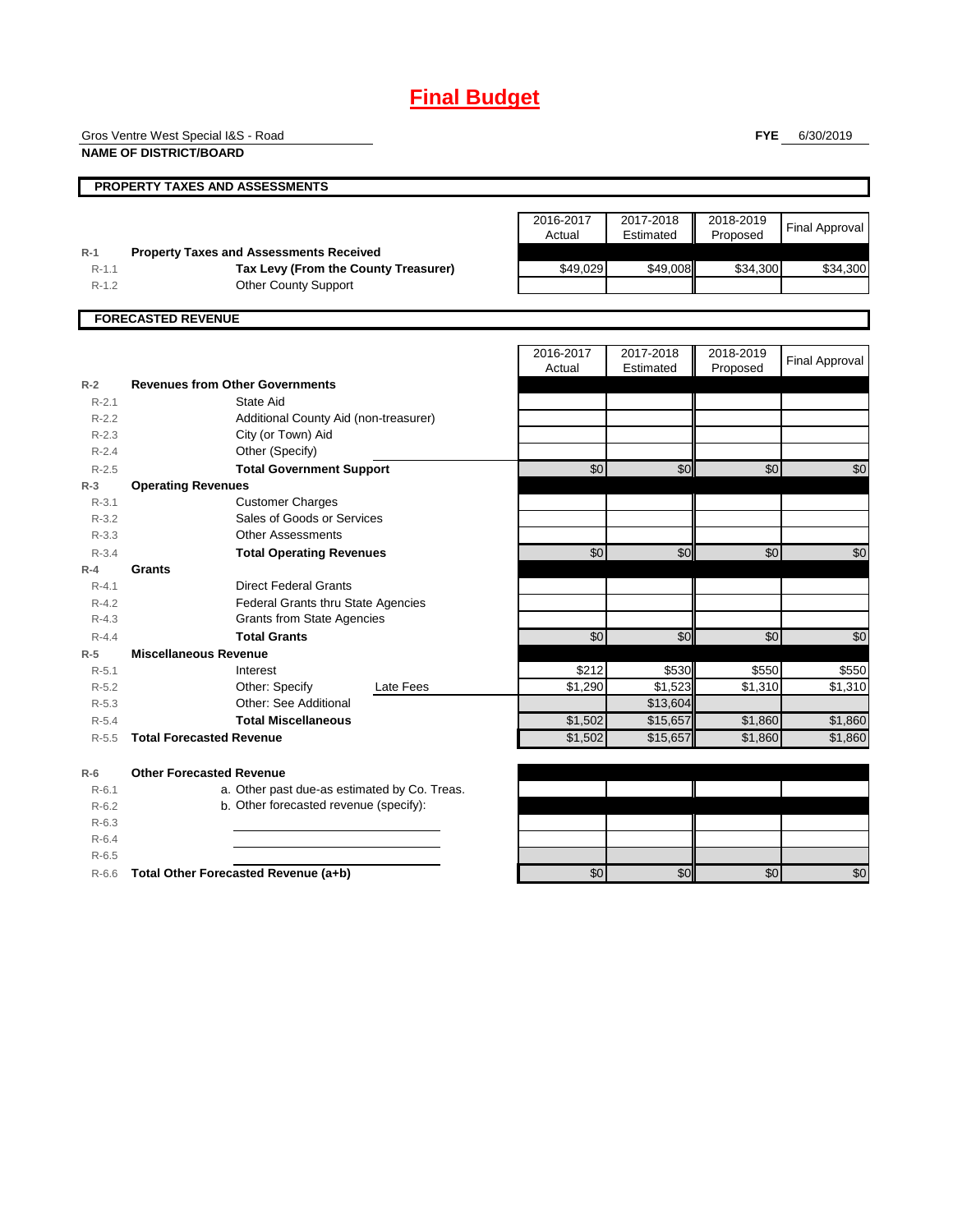## **Final Budget**

Gros Ventre West Special I&S - Road

**NAME OF DISTRICT/BOARD**

**FYE** 6/30/2019

|                    | <b>PROPERTY TAXES AND ASSESSMENTS</b>                                                  |                     |                        |                       |                       |
|--------------------|----------------------------------------------------------------------------------------|---------------------|------------------------|-----------------------|-----------------------|
|                    |                                                                                        | 2016-2017<br>Actual | 2017-2018<br>Estimated | 2018-2019<br>Proposed | <b>Final Approval</b> |
| $R-1$<br>$R - 1.1$ | <b>Property Taxes and Assessments Received</b><br>Tax Levy (From the County Treasurer) | \$49,029            | \$49,008               | \$34,300              | \$34,300              |
| $R-1.2$            | <b>Other County Support</b>                                                            |                     |                        |                       |                       |
|                    |                                                                                        |                     |                        |                       |                       |
|                    | <b>FORECASTED REVENUE</b>                                                              |                     |                        |                       |                       |
|                    |                                                                                        | 2016-2017           | 2017-2018              | 2018-2019             |                       |
|                    |                                                                                        | Actual              | Estimated              | Proposed              | <b>Final Approval</b> |
| $R-2$              | <b>Revenues from Other Governments</b>                                                 |                     |                        |                       |                       |
| $R - 2.1$          | State Aid                                                                              |                     |                        |                       |                       |
| $R-2.2$            | Additional County Aid (non-treasurer)                                                  |                     |                        |                       |                       |
| $R-2.3$            | City (or Town) Aid                                                                     |                     |                        |                       |                       |
| $R - 2.4$          | Other (Specify)                                                                        |                     |                        |                       |                       |
| $R - 2.5$          | <b>Total Government Support</b>                                                        | $\overline{50}$     | \$0                    | $\overline{50}$       | \$0                   |
| $R-3$              | <b>Operating Revenues</b>                                                              |                     |                        |                       |                       |
| $R - 3.1$          | <b>Customer Charges</b>                                                                |                     |                        |                       |                       |
| $R - 3.2$          | Sales of Goods or Services                                                             |                     |                        |                       |                       |
| $R - 3.3$          | <b>Other Assessments</b>                                                               |                     |                        |                       |                       |
| $R - 3.4$          | <b>Total Operating Revenues</b>                                                        | \$0                 | \$0                    | \$0                   | \$0                   |
| $R-4$              | Grants                                                                                 |                     |                        |                       |                       |
| $R - 4.1$          | <b>Direct Federal Grants</b>                                                           |                     |                        |                       |                       |
| $R - 4.2$          | <b>Federal Grants thru State Agencies</b>                                              |                     |                        |                       |                       |
| $R - 4.3$          | <b>Grants from State Agencies</b>                                                      |                     |                        |                       |                       |
| $R - 4.4$          | <b>Total Grants</b>                                                                    | $\overline{50}$     | \$0                    | \$0                   | $\overline{50}$       |
| $R-5$              | <b>Miscellaneous Revenue</b>                                                           |                     |                        |                       |                       |
| $R-5.1$            | Interest                                                                               | \$212               | \$530                  | \$550                 | \$550                 |
| $R-5.2$            | Other: Specify<br>Late Fees                                                            | \$1,290             | \$1.523                | \$1,310               | \$1,310               |
| $R - 5.3$          | Other: See Additional                                                                  |                     | \$13,604               |                       |                       |
| $R - 5.4$          | <b>Total Miscellaneous</b>                                                             | \$1,502             | \$15,657               | \$1,860               | \$1,860               |
| $R - 5.5$          | <b>Total Forecasted Revenue</b>                                                        | \$1,502             | \$15,657               | \$1,860               | \$1,860               |
| $R-6$              | <b>Other Forecasted Revenue</b>                                                        |                     |                        |                       |                       |
| $R-6.1$            | a. Other past due-as estimated by Co. Treas.                                           |                     |                        |                       |                       |
| $R-6.2$            | b. Other forecasted revenue (specify):                                                 |                     |                        |                       |                       |
| $R-6.3$            |                                                                                        |                     |                        |                       |                       |
| $R - 6.4$          |                                                                                        |                     |                        |                       |                       |
| $R-6.5$            |                                                                                        |                     |                        |                       |                       |
| $R-6.6$            | Total Other Forecasted Revenue (a+b)                                                   | \$0                 | \$0                    | \$0                   | \$0                   |
|                    |                                                                                        |                     |                        |                       |                       |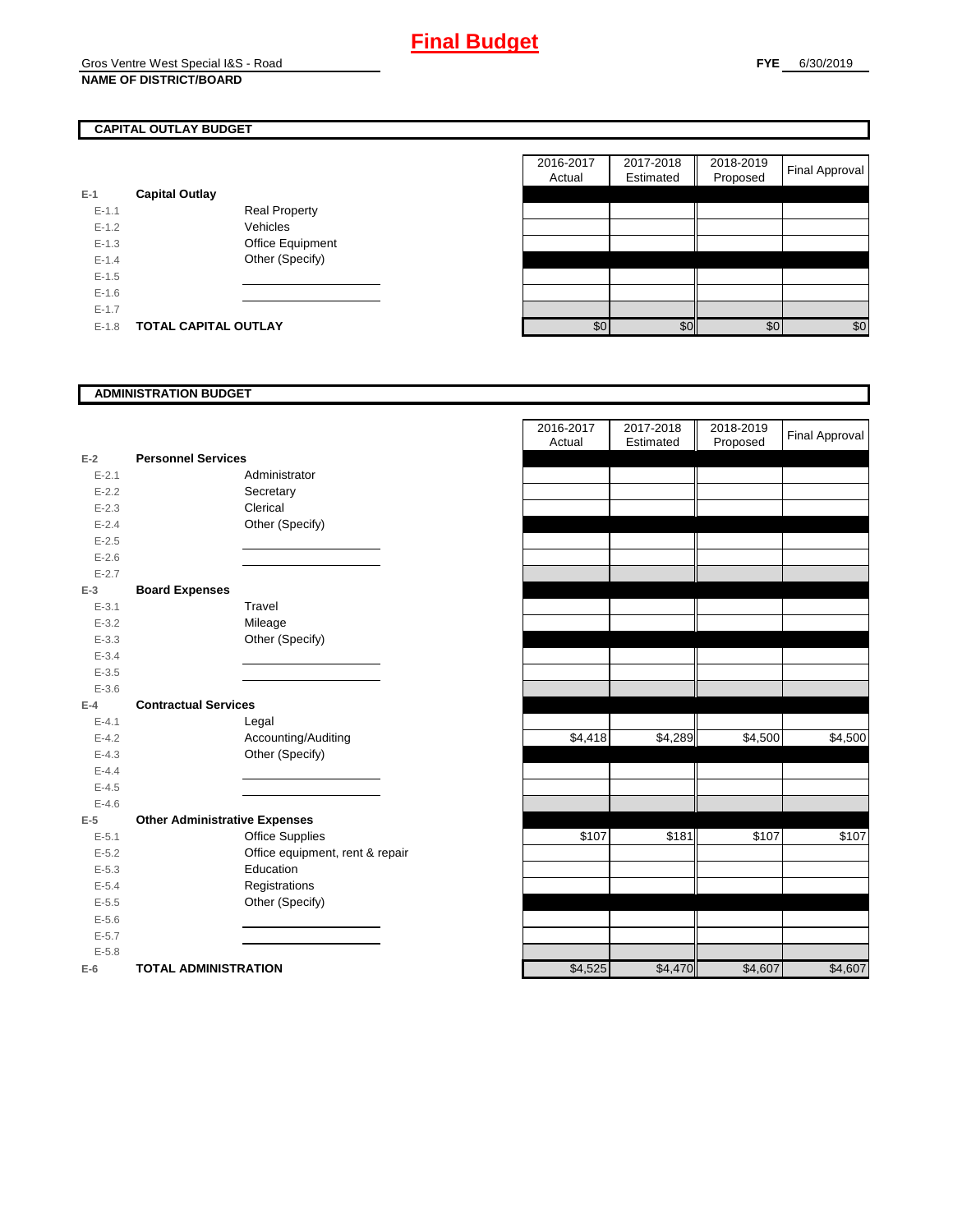## **CAPITAL OUTLAY BUDGET**

| E-1       | <b>Capital Outlay</b> |                         |
|-----------|-----------------------|-------------------------|
| $E - 1.1$ |                       | <b>Real Property</b>    |
| $F-12$    |                       | Vehicles                |
| $F-1.3$   |                       | <b>Office Equipment</b> |
| $F-14$    |                       | Other (Specify)         |
| $F-1.5$   |                       |                         |
| $F-16$    |                       |                         |
| $F-17$    |                       |                         |
| $E-1.8$   | TOTAL CAPITAL OUTLAY  |                         |

|           |                             |                      | 2016-2017 | 2017-2018 | 2018-2019 | <b>Final Approval</b> |
|-----------|-----------------------------|----------------------|-----------|-----------|-----------|-----------------------|
|           |                             |                      | Actual    | Estimated | Proposed  |                       |
|           | <b>Capital Outlay</b>       |                      |           |           |           |                       |
| $E-1.1$   |                             | <b>Real Property</b> |           |           |           |                       |
| $E-1.2$   |                             | Vehicles             |           |           |           |                       |
| $E-1.3$   |                             | Office Equipment     |           |           |           |                       |
| $E - 1.4$ |                             | Other (Specify)      |           |           |           |                       |
| $E-1.5$   |                             |                      |           |           |           |                       |
| $E-1.6$   |                             |                      |           |           |           |                       |
| $E - 1.7$ |                             |                      |           |           |           |                       |
| $E-1.8$   | <b>TOTAL CAPITAL OUTLAY</b> |                      | \$0       | \$0       | \$0       | \$0                   |

#### **ADMINISTRATION BUDGET**

| $E-2$     | <b>Personnel Services</b>            |                                 |
|-----------|--------------------------------------|---------------------------------|
| $E - 2.1$ |                                      | Administrator                   |
| $E - 2.2$ |                                      | Secretary                       |
| $E - 2.3$ |                                      | Clerical                        |
| $E - 2.4$ |                                      | Other (Specify)                 |
| $E - 2.5$ |                                      |                                 |
| $E - 2.6$ |                                      |                                 |
| $E - 2.7$ |                                      |                                 |
| $E-3$     | <b>Board Expenses</b>                |                                 |
| $E - 3.1$ |                                      | Travel                          |
| $E - 3.2$ |                                      | Mileage                         |
| $E - 3.3$ |                                      | Other (Specify)                 |
| $E - 3.4$ |                                      |                                 |
| $E - 3.5$ |                                      |                                 |
| $E - 3.6$ |                                      |                                 |
| $E-4$     | <b>Contractual Services</b>          |                                 |
| $E - 4.1$ |                                      | Legal                           |
| $E - 4.2$ |                                      | Accounting/Auditing             |
| $E - 4.3$ |                                      | Other (Specify)                 |
| $E - 4.4$ |                                      |                                 |
| $E - 4.5$ |                                      |                                 |
| $E - 4.6$ |                                      |                                 |
| $E-5$     | <b>Other Administrative Expenses</b> |                                 |
| $E - 5.1$ |                                      | <b>Office Supplies</b>          |
| $E - 5.2$ |                                      | Office equipment, rent & repair |
| $E - 5.3$ |                                      | Education                       |
| $E - 5.4$ |                                      | Registrations                   |
| $E - 5.5$ |                                      | Other (Specify)                 |
| $E - 5.6$ |                                      |                                 |
| $E - 5.7$ |                                      |                                 |
| $E - 5.8$ |                                      |                                 |
| $E-6$     | <b>TOTAL ADMINISTRATION</b>          |                                 |

|           |                                      | 2016-2017<br>Actual | 2017-2018<br>Estimated | 2018-2019<br>Proposed | Final Approval |
|-----------|--------------------------------------|---------------------|------------------------|-----------------------|----------------|
| $E-2$     | <b>Personnel Services</b>            |                     |                        |                       |                |
| $E - 2.1$ | Administrator                        |                     |                        |                       |                |
| $E - 2.2$ | Secretary                            |                     |                        |                       |                |
| $E - 2.3$ | Clerical                             |                     |                        |                       |                |
| $E - 2.4$ | Other (Specify)                      |                     |                        |                       |                |
| $E - 2.5$ |                                      |                     |                        |                       |                |
| $E - 2.6$ |                                      |                     |                        |                       |                |
| $E - 2.7$ |                                      |                     |                        |                       |                |
| $E-3$     | <b>Board Expenses</b>                |                     |                        |                       |                |
| $E - 3.1$ | Travel                               |                     |                        |                       |                |
| $E - 3.2$ | Mileage                              |                     |                        |                       |                |
| $E - 3.3$ | Other (Specify)                      |                     |                        |                       |                |
| $E - 3.4$ |                                      |                     |                        |                       |                |
| $E - 3.5$ |                                      |                     |                        |                       |                |
| $E - 3.6$ |                                      |                     |                        |                       |                |
| $E-4$     | <b>Contractual Services</b>          |                     |                        |                       |                |
| $E - 4.1$ | Legal                                |                     |                        |                       |                |
| $E - 4.2$ | Accounting/Auditing                  | \$4,418             | \$4,289                | \$4,500               | \$4,500        |
| $E - 4.3$ | Other (Specify)                      |                     |                        |                       |                |
| $E-4.4$   |                                      |                     |                        |                       |                |
| $E - 4.5$ |                                      |                     |                        |                       |                |
| $E - 4.6$ |                                      |                     |                        |                       |                |
| $E-5$     | <b>Other Administrative Expenses</b> |                     |                        |                       |                |
| $E - 5.1$ | <b>Office Supplies</b>               | \$107               | \$181                  | \$107                 | \$107          |
| $E - 5.2$ | Office equipment, rent & repair      |                     |                        |                       |                |
| $E - 5.3$ | Education                            |                     |                        |                       |                |
| $E - 5.4$ | Registrations                        |                     |                        |                       |                |
| $E-5.5$   | Other (Specify)                      |                     |                        |                       |                |
| $E-5.6$   |                                      |                     |                        |                       |                |
| $E - 5.7$ |                                      |                     |                        |                       |                |
| $E - 5.8$ |                                      |                     |                        |                       |                |
| $E-6$     | <b>TOTAL ADMINISTRATION</b>          | \$4,525             | \$4,470                | \$4,607               | \$4,607        |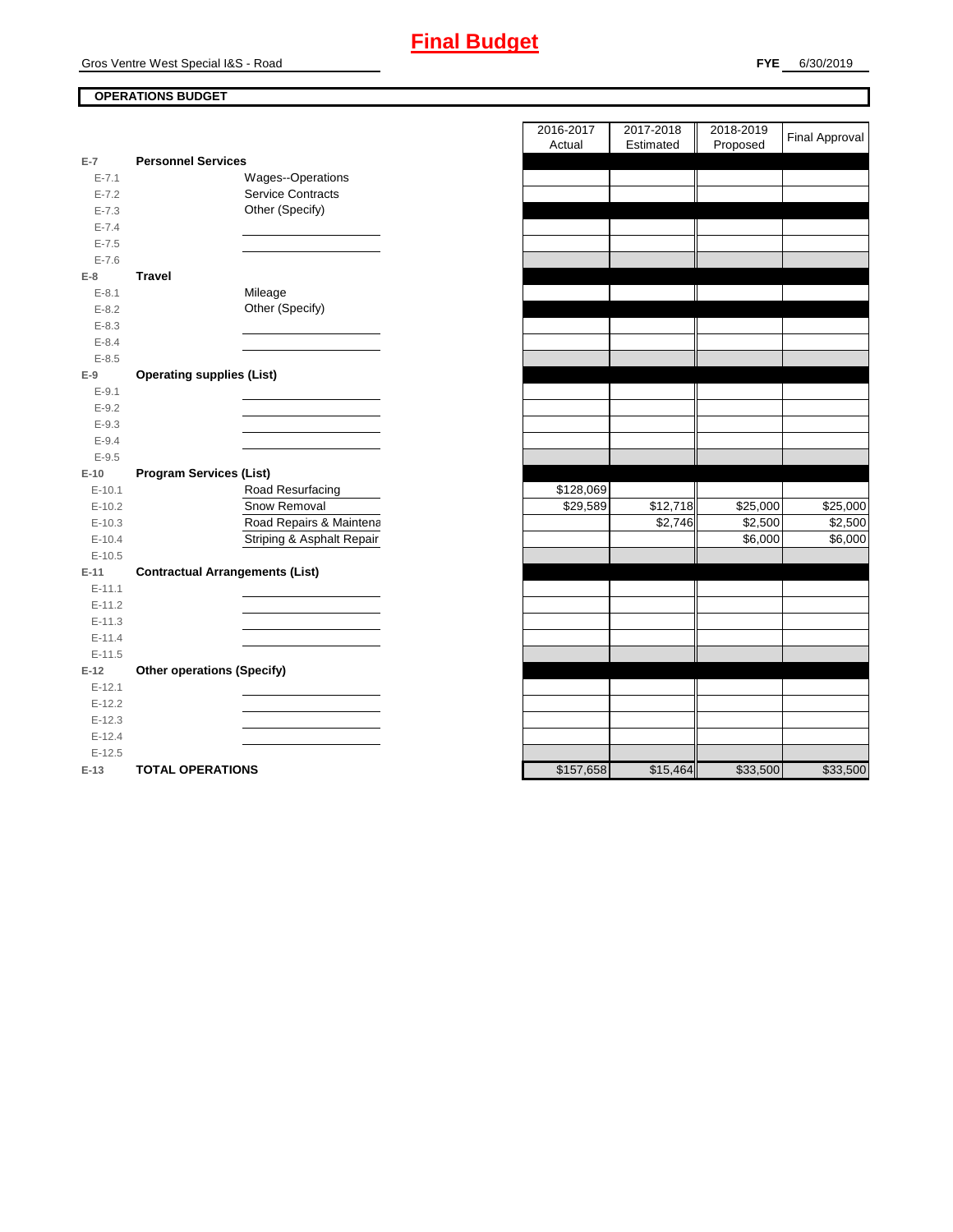## **OPERATIONS BUDGET**

| $E-7$     | <b>Personnel Services</b>              |                           |           |
|-----------|----------------------------------------|---------------------------|-----------|
| $E - 7.1$ |                                        | Wages--Operations         |           |
| $E - 7.2$ |                                        | <b>Service Contracts</b>  |           |
| $E - 7.3$ |                                        | Other (Specify)           |           |
| $E - 7.4$ |                                        |                           |           |
| $E - 7.5$ |                                        |                           |           |
| $E - 7.6$ |                                        |                           |           |
| $E-8$     | <b>Travel</b>                          |                           |           |
| $E - 8.1$ |                                        | Mileage                   |           |
| $E - 8.2$ |                                        | Other (Specify)           |           |
| $E - 8.3$ |                                        |                           |           |
| $E - 8.4$ |                                        |                           |           |
| $E - 8.5$ |                                        |                           |           |
| $E-9$     | <b>Operating supplies (List)</b>       |                           |           |
| $E - 9.1$ |                                        |                           |           |
| $E - 9.2$ |                                        |                           |           |
| $E - 9.3$ |                                        |                           |           |
| $E - 9.4$ |                                        |                           |           |
| $E-9.5$   |                                        |                           |           |
| $E-10$    | <b>Program Services (List)</b>         |                           |           |
| $E-10.1$  |                                        | Road Resurfacing          | \$128,069 |
|           |                                        |                           |           |
| $E-10.2$  |                                        | Snow Removal              | \$29,589  |
| $E-10.3$  |                                        | Road Repairs & Maintena   |           |
| $E-10.4$  |                                        | Striping & Asphalt Repair |           |
| $E-10.5$  |                                        |                           |           |
| $E-11$    | <b>Contractual Arrangements (List)</b> |                           |           |
| $E-11.1$  |                                        |                           |           |
| $E-11.2$  |                                        |                           |           |
| $E-11.3$  |                                        |                           |           |
| $E-11.4$  |                                        |                           |           |
| $E-11.5$  |                                        |                           |           |
| $E-12$    | <b>Other operations (Specify)</b>      |                           |           |
| $E-12.1$  |                                        |                           |           |
| $E-12.2$  |                                        |                           |           |
| $E-12.3$  |                                        |                           |           |
| $E-12.4$  |                                        |                           |           |
| $E-12.5$  |                                        |                           |           |

|                |                                        | 2016-2017<br>Actual | 2017-2018<br>Estimated | 2018-2019<br>Proposed | <b>Final Approval</b> |
|----------------|----------------------------------------|---------------------|------------------------|-----------------------|-----------------------|
| $\overline{7}$ | <b>Personnel Services</b>              |                     |                        |                       |                       |
| $E - 7.1$      | Wages--Operations                      |                     |                        |                       |                       |
| $E - 7.2$      | <b>Service Contracts</b>               |                     |                        |                       |                       |
| $E - 7.3$      | Other (Specify)                        |                     |                        |                       |                       |
| $E - 7.4$      |                                        |                     |                        |                       |                       |
| $E - 7.5$      |                                        |                     |                        |                       |                       |
| $E - 7.6$      |                                        |                     |                        |                       |                       |
| 8              | <b>Travel</b>                          |                     |                        |                       |                       |
| $E - 8.1$      | Mileage                                |                     |                        |                       |                       |
| $E-8.2$        | Other (Specify)                        |                     |                        |                       |                       |
| $E - 8.3$      |                                        |                     |                        |                       |                       |
| $E - 8.4$      |                                        |                     |                        |                       |                       |
| $E - 8.5$      |                                        |                     |                        |                       |                       |
| 9              | <b>Operating supplies (List)</b>       |                     |                        |                       |                       |
| $E-9.1$        |                                        |                     |                        |                       |                       |
| $E - 9.2$      |                                        |                     |                        |                       |                       |
| $E - 9.3$      |                                        |                     |                        |                       |                       |
| $E - 9.4$      |                                        |                     |                        |                       |                       |
| $E - 9.5$      |                                        |                     |                        |                       |                       |
| 10             | <b>Program Services (List)</b>         |                     |                        |                       |                       |
| $E-10.1$       | Road Resurfacing                       | \$128,069           |                        |                       |                       |
| $E-10.2$       | Snow Removal                           | \$29,589            | \$12,718               | \$25,000              | \$25,000              |
| $E-10.3$       | Road Repairs & Maintena                |                     | \$2,746                | \$2,500               | \$2,500               |
| $E-10.4$       | Striping & Asphalt Repair              |                     |                        | \$6,000               | \$6,000               |
| $E-10.5$       |                                        |                     |                        |                       |                       |
| 11             | <b>Contractual Arrangements (List)</b> |                     |                        |                       |                       |
| E-11.1         |                                        |                     |                        |                       |                       |
| $E-11.2$       |                                        |                     |                        |                       |                       |
| $E-11.3$       |                                        |                     |                        |                       |                       |
| $E-11.4$       |                                        |                     |                        |                       |                       |
| $E-11.5$       |                                        |                     |                        |                       |                       |
| 12             | <b>Other operations (Specify)</b>      |                     |                        |                       |                       |
| $E-12.1$       |                                        |                     |                        |                       |                       |
| $E-12.2$       |                                        |                     |                        |                       |                       |
| $E-12.3$       |                                        |                     |                        |                       |                       |
| $E-12.4$       |                                        |                     |                        |                       |                       |
| $E-12.5$       |                                        |                     |                        |                       |                       |
| 13.            | TOTAL OPERATIONS                       | \$157,658           | \$15,464               | \$33500               | \$33500               |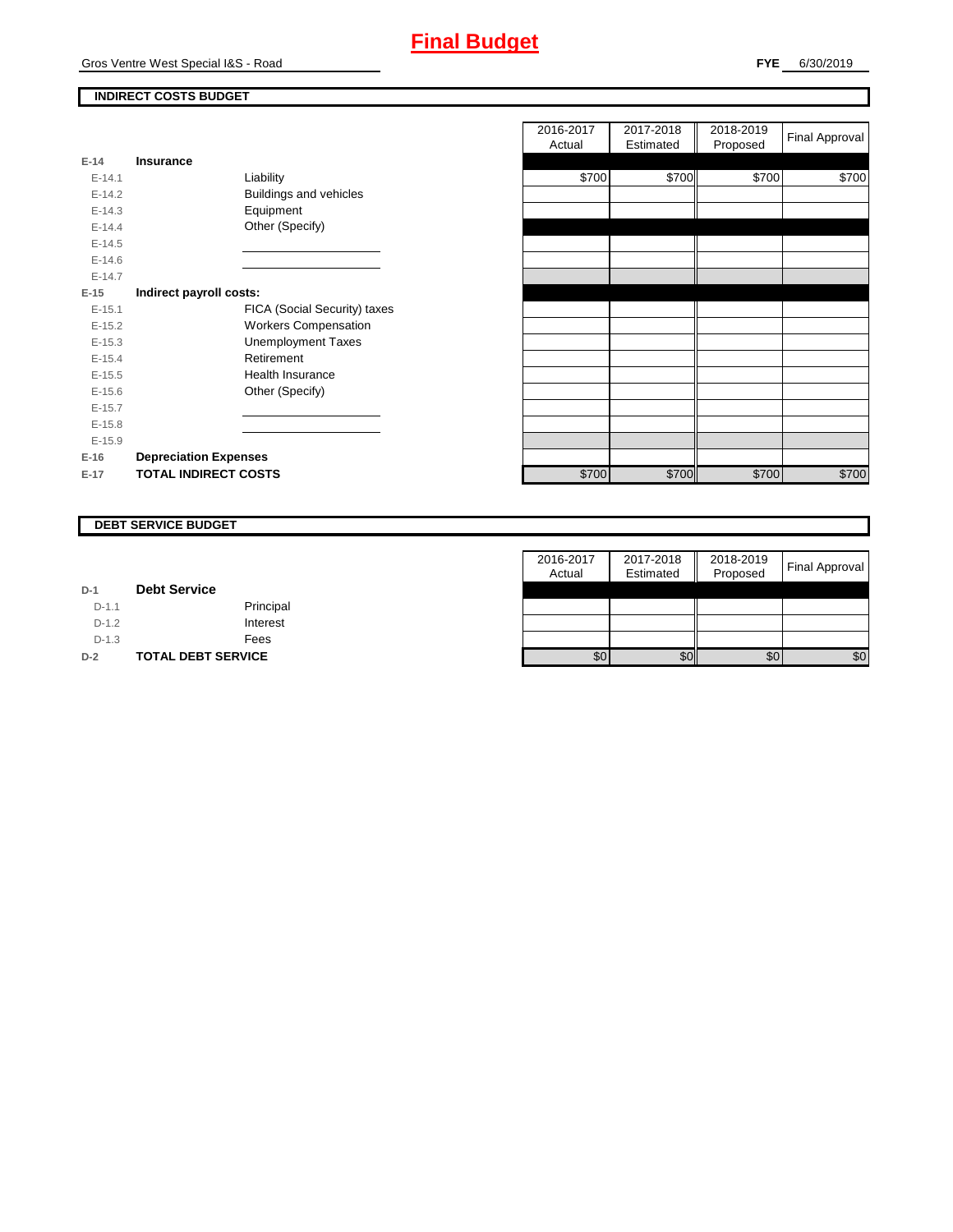Gros Ventre West Special I&S - Road

## **INDIRECT COSTS BUDGET**

| E-14       | Insurance                     |
|------------|-------------------------------|
| $F-141$    | Liability                     |
| $F-142$    | <b>Buildings and vehicles</b> |
| $E-14.3$   | Equipment                     |
| $E-14.4$   | Other (Specify)               |
| $F-14.5$   |                               |
| $F-146$    |                               |
| $F-147$    |                               |
| $E-15$     | Indirect payroll costs:       |
| $E - 15.1$ | FICA (Social Security) taxes  |
| $E-15.2$   | <b>Workers Compensation</b>   |
| $E-15.3$   | Unemployment Taxes            |
| $F-154$    | Retirement                    |
| $E-15.5$   | Health Insurance              |
| $F-156$    | Other (Specify)               |
| $E-15.7$   |                               |
| $E-15.8$   |                               |
| $E-15.9$   |                               |
| $E-16$     | <b>Depreciation Expenses</b>  |
| $E-17$     | <b>TOTAL INDIRECT COSTS</b>   |

|          |                              | 2016-2017<br>Actual | 2017-2018<br>Estimated | 2018-2019<br>Proposed | <b>Final Approval</b> |
|----------|------------------------------|---------------------|------------------------|-----------------------|-----------------------|
| $E-14$   | <b>Insurance</b>             |                     |                        |                       |                       |
| $E-14.1$ | Liability                    | \$700               | \$700                  | \$700                 | \$700                 |
| $E-14.2$ | Buildings and vehicles       |                     |                        |                       |                       |
| $E-14.3$ | Equipment                    |                     |                        |                       |                       |
| $E-14.4$ | Other (Specify)              |                     |                        |                       |                       |
| $E-14.5$ |                              |                     |                        |                       |                       |
| $E-14.6$ |                              |                     |                        |                       |                       |
| $E-14.7$ |                              |                     |                        |                       |                       |
| $E-15$   | Indirect payroll costs:      |                     |                        |                       |                       |
| $E-15.1$ | FICA (Social Security) taxes |                     |                        |                       |                       |
| $E-15.2$ | <b>Workers Compensation</b>  |                     |                        |                       |                       |
| $E-15.3$ | <b>Unemployment Taxes</b>    |                     |                        |                       |                       |
| $E-15.4$ | Retirement                   |                     |                        |                       |                       |
| $E-15.5$ | Health Insurance             |                     |                        |                       |                       |
| $E-15.6$ | Other (Specify)              |                     |                        |                       |                       |
| $E-15.7$ |                              |                     |                        |                       |                       |
| $E-15.8$ |                              |                     |                        |                       |                       |
| $E-15.9$ |                              |                     |                        |                       |                       |
| $E-16$   | <b>Depreciation Expenses</b> |                     |                        |                       |                       |
| E-17     | <b>TOTAL INDIRECT COSTS</b>  | \$700               | \$700                  | \$700                 | \$700                 |
|          |                              |                     |                        |                       |                       |

#### **DEBT SERVICE BUDGET**

|         |                           | 2016-2017 | 2017-2018 | 2018-2019 | <b>Final Approval</b> |
|---------|---------------------------|-----------|-----------|-----------|-----------------------|
|         |                           | Actual    | Estimated | Proposed  |                       |
| $D-1$   | <b>Debt Service</b>       |           |           |           |                       |
| $D-1.1$ | Principal                 |           |           |           |                       |
| $D-1.2$ | Interest                  |           |           |           |                       |
| $D-1.3$ | Fees                      |           |           |           |                       |
| $D-2$   | <b>TOTAL DEBT SERVICE</b> | \$0       | \$0       | \$0       | \$0                   |